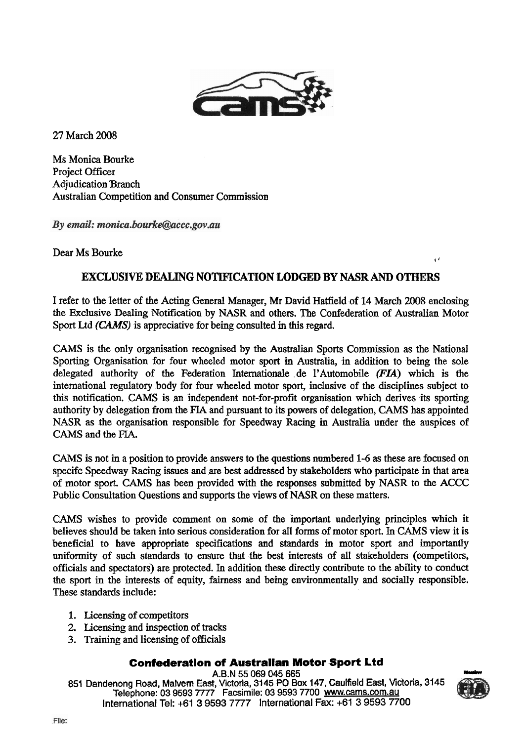

27 March 2008

Ms Monica Bourke Project Officer Adjudication Branch Australian Competition and Consumer Commission

By email: monica.bourke@accc.gov.au

Dear Ms Bourke

## **EXCLUSIVE DEALING NOTIF'ICATION LODGED BY NASR AND OTHERS**

I refer to the letter of the Acting General Manager, Mr David Hatfield of 14 March 2008 enclosing the Exclusive Dealing Notification by NASR and others. The Confederation of Australian Motor Sport Ltd (CAMS) is appreciative for being consulted in this regard.

CAMS is the only organisation recognised by the Australian Sports Commission as the National Sporting Organisation for four wheeled motor sport in Australia, in addition to being the sole delegated authority of the Federation Internationale de 1'Automobile **(FU)** which is fhe international regulatory body for four wheeled motor sport, inclusive of the disciplines subject to this notification. CAMS is an independent not-for-profit organisation which derives its sporting authority by delegation from the **FIA** and pursuant to its powers of delegation, CAMS has appointed NASR as the organisation responsible for Speedway Racing in Australia under the auspices of CAMS and the FIA.

CAMS is not in a position to provide answers to the questions numbered 1-6 **as** these are focused on specifc Speedway Racing issues and **are** best addressed by stakeholders who participate in that area of motor sport. CAMS has been provided with the responses submitted by NASR to the ACCC Public Consultation Questions and supports the views of NASR on these matters.

CAMS wishes to provide comment on some of the important underlying principles which it believes should be taken into serious consideration for all forms of motor sport. In CAMS view it is beneficial to have appropriate specifications and standards in motor sport and importantly uniformity of such standards to ensure that the best interests of all stakeholders (competitors, officials and spectators) are protected. In addition these directly contribute to the ability to conduct the sport in the interests of equity, fairness and being environmentally and socially responsible. These standards include:

- 1. Licensing of competitors
- 2. Licensing and inspection of tracks
- 3. Training and licensing of officials

## **Confederatlon of Australian Motor Sport Ltd**

**A.6.1.1.1.5.1.1.5.1.5.5 069 <b>Confederation of Australian Motor Sport Ltd**<br>**Confederation of Australian Motor Sport Ltd**<br>**A.6.N 55 069 045 665**<br>851 Dandenong Road, Malvem East, Victoria, 3145 PO Box 147, Caulfield East, Vi **Telephone: 03 9593 7777** Facsimile: **03** 9593 **7700 www.cams.com.au**  International Tel: +61 3 9593 7777 lnternational Fax: +61 3 9593 7700



**4** '